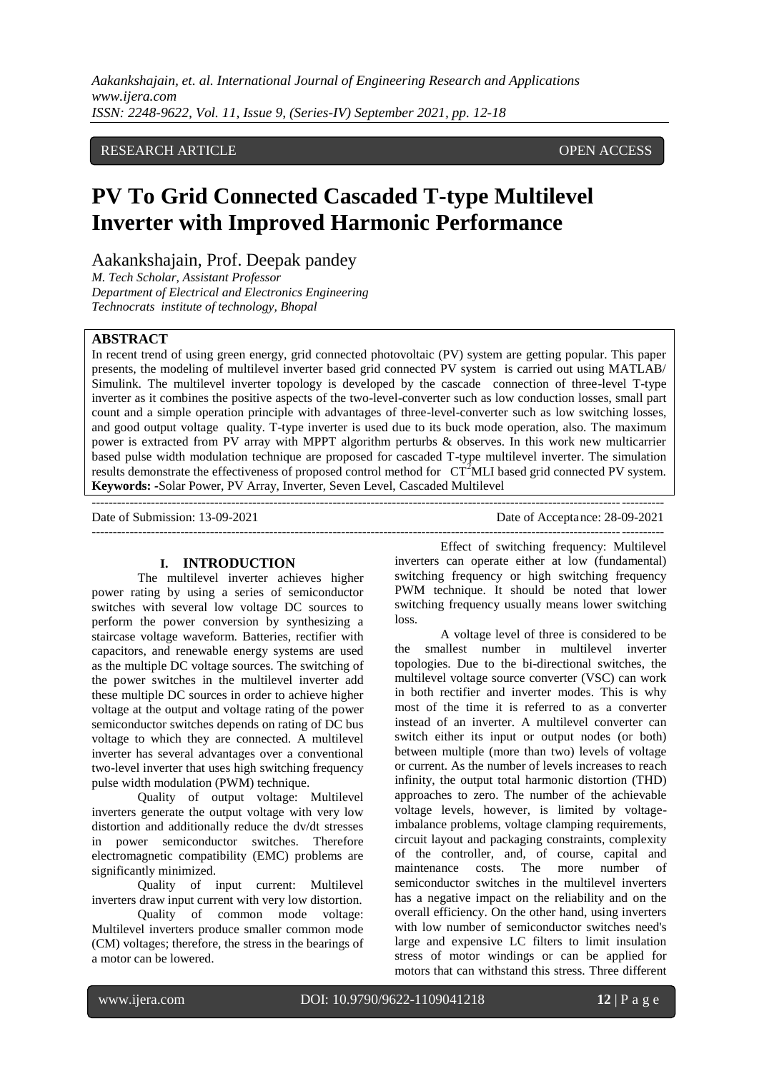*Aakankshajain, et. al. International Journal of Engineering Research and Applications www.ijera.com ISSN: 2248-9622, Vol. 11, Issue 9, (Series-IV) September 2021, pp. 12-18*

# RESEARCH ARTICLE **CONSERVERS** OPEN ACCESS

# **PV To Grid Connected Cascaded T-type Multilevel Inverter with Improved Harmonic Performance**

Aakankshajain, Prof. Deepak pandey

*M. Tech Scholar, Assistant Professor Department of Electrical and Electronics Engineering Technocrats institute of technology, Bhopal*

# **ABSTRACT**

In recent trend of using green energy, grid connected photovoltaic (PV) system are getting popular. This paper presents, the modeling of multilevel inverter based grid connected PV system is carried out using MATLAB/ Simulink. The multilevel inverter topology is developed by the cascade connection of three-level T-type inverter as it combines the positive aspects of the two-level-converter such as low conduction losses, small part count and a simple operation principle with advantages of three-level-converter such as low switching losses, and good output voltage quality. T-type inverter is used due to its buck mode operation, also. The maximum power is extracted from PV array with MPPT algorithm perturbs & observes. In this work new multicarrier based pulse width modulation technique are proposed for cascaded T-type multilevel inverter. The simulation results demonstrate the effectiveness of proposed control method for CT<sup>2</sup>MLI based grid connected PV system. **Keywords:** *-*Solar Power, PV Array, Inverter, Seven Level, Cascaded Multilevel

---------------------------------------------------------------------------------------------------------------------------------------

Date of Submission: 13-09-2021 Date of Acceptance: 28-09-2021

#### **I. INTRODUCTION**

 $-1.1$ 

The multilevel inverter achieves higher power rating by using a series of semiconductor switches with several low voltage DC sources to perform the power conversion by synthesizing a staircase voltage waveform. Batteries, rectifier with capacitors, and renewable energy systems are used as the multiple DC voltage sources. The switching of the power switches in the multilevel inverter add these multiple DC sources in order to achieve higher voltage at the output and voltage rating of the power semiconductor switches depends on rating of DC bus voltage to which they are connected. A multilevel inverter has several advantages over a conventional two-level inverter that uses high switching frequency pulse width modulation (PWM) technique.

Quality of output voltage: Multilevel inverters generate the output voltage with very low distortion and additionally reduce the dv/dt stresses in power semiconductor switches. Therefore electromagnetic compatibility (EMC) problems are significantly minimized.

Quality of input current: Multilevel inverters draw input current with very low distortion.

Quality of common mode voltage: Multilevel inverters produce smaller common mode (CM) voltages; therefore, the stress in the bearings of a motor can be lowered.

Effect of switching frequency: Multilevel inverters can operate either at low (fundamental) switching frequency or high switching frequency PWM technique. It should be noted that lower switching frequency usually means lower switching loss.

A voltage level of three is considered to be the smallest number in multilevel inverter topologies. Due to the bi-directional switches, the multilevel voltage source converter (VSC) can work in both rectifier and inverter modes. This is why most of the time it is referred to as a converter instead of an inverter. A multilevel converter can switch either its input or output nodes (or both) between multiple (more than two) levels of voltage or current. As the number of levels increases to reach infinity, the output total harmonic distortion (THD) approaches to zero. The number of the achievable voltage levels, however, is limited by voltageimbalance problems, voltage clamping requirements, circuit layout and packaging constraints, complexity of the controller, and, of course, capital and maintenance costs. The more number of semiconductor switches in the multilevel inverters has a negative impact on the reliability and on the overall efficiency. On the other hand, using inverters with low number of semiconductor switches need's large and expensive LC filters to limit insulation stress of motor windings or can be applied for motors that can withstand this stress. Three different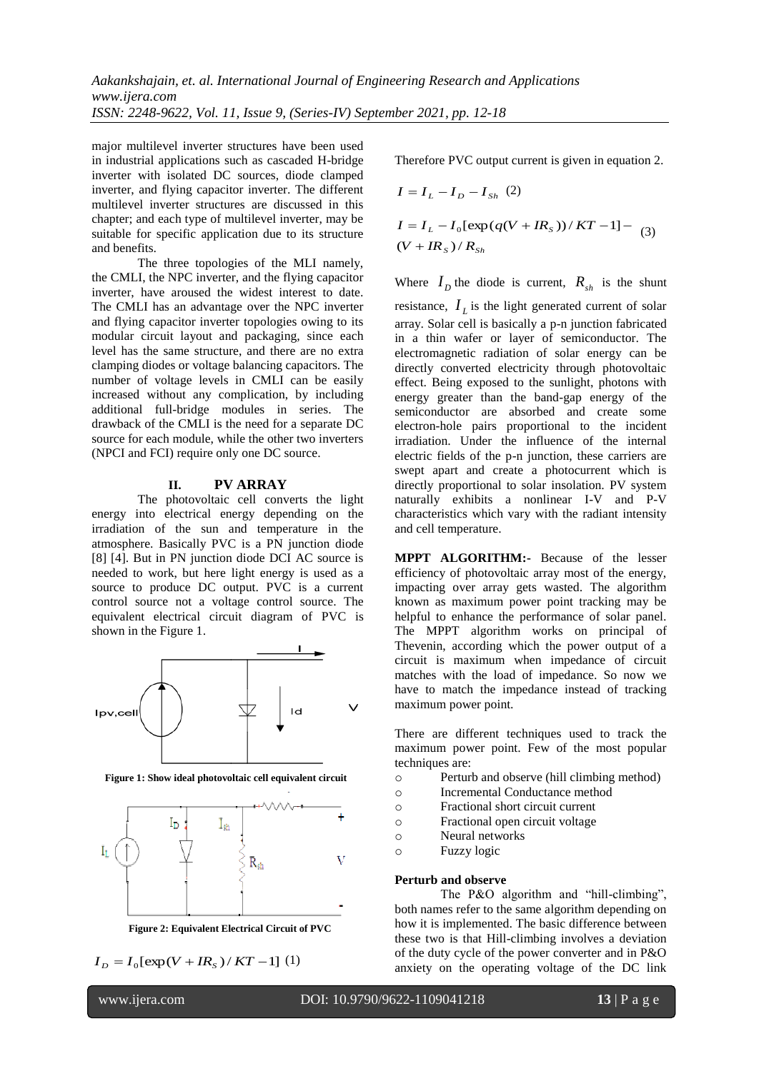major multilevel inverter structures have been used in industrial applications such as cascaded H-bridge inverter with isolated DC sources, diode clamped inverter, and flying capacitor inverter. The different multilevel inverter structures are discussed in this chapter; and each type of multilevel inverter, may be suitable for specific application due to its structure and benefits.

The three topologies of the MLI namely, the CMLI, the NPC inverter, and the flying capacitor inverter, have aroused the widest interest to date. The CMLI has an advantage over the NPC inverter and flying capacitor inverter topologies owing to its modular circuit layout and packaging, since each level has the same structure, and there are no extra clamping diodes or voltage balancing capacitors. The number of voltage levels in CMLI can be easily increased without any complication, by including additional full-bridge modules in series. The drawback of the CMLI is the need for a separate DC source for each module, while the other two inverters (NPCI and FCI) require only one DC source.

#### **II. PV ARRAY**

The photovoltaic cell converts the light energy into electrical energy depending on the irradiation of the sun and temperature in the atmosphere. Basically PVC is a PN junction diode [8] [4]. But in PN junction diode DCI AC source is needed to work, but here light energy is used as a source to produce DC output. PVC is a current control source not a voltage control source. The equivalent electrical circuit diagram of PVC is shown in the Figure 1.



**Figure 1: Show ideal photovoltaic cell equivalent circuit**



**Figure 2: Equivalent Electrical Circuit of PVC**

$$
I_D = I_0[\exp(V + IR_s)/KT - 1]
$$
 (1)

Therefore PVC output current is given in equation 2.

$$
I = I_L - I_D - I_{Sh} (2)
$$
  
\n
$$
I = I_L - I_0 [\exp(q(V + IR_s))/KT - 1] - (3)
$$
  
\n
$$
(V + IR_s)/R_{Sh}
$$

Where  $I_D$  the diode is current,  $R_{sh}$  is the shunt resistance,  $I_L$  is the light generated current of solar array. Solar cell is basically a p-n junction fabricated in a thin wafer or layer of semiconductor. The electromagnetic radiation of solar energy can be directly converted electricity through photovoltaic effect. Being exposed to the sunlight, photons with energy greater than the band-gap energy of the semiconductor are absorbed and create some electron-hole pairs proportional to the incident irradiation. Under the influence of the internal electric fields of the p-n junction, these carriers are swept apart and create a photocurrent which is directly proportional to solar insolation. PV system naturally exhibits a nonlinear I-V and P-V characteristics which vary with the radiant intensity and cell temperature.

**MPPT ALGORITHM:-** Because of the lesser efficiency of photovoltaic array most of the energy, impacting over array gets wasted. The algorithm known as maximum power point tracking may be helpful to enhance the performance of solar panel. The MPPT algorithm works on principal of Thevenin, according which the power output of a circuit is maximum when impedance of circuit matches with the load of impedance. So now we have to match the impedance instead of tracking maximum power point.

There are different techniques used to track the maximum power point. Few of the most popular techniques are:

- o Perturb and observe (hill climbing method)
- o Incremental Conductance method
- o Fractional short circuit current
- o Fractional open circuit voltage
- o Neural networks
- o Fuzzy logic

#### **Perturb and observe**

The P&O algorithm and "hill-climbing", both names refer to the same algorithm depending on how it is implemented. The basic difference between these two is that Hill-climbing involves a deviation of the duty cycle of the power converter and in P&O anxiety on the operating voltage of the DC link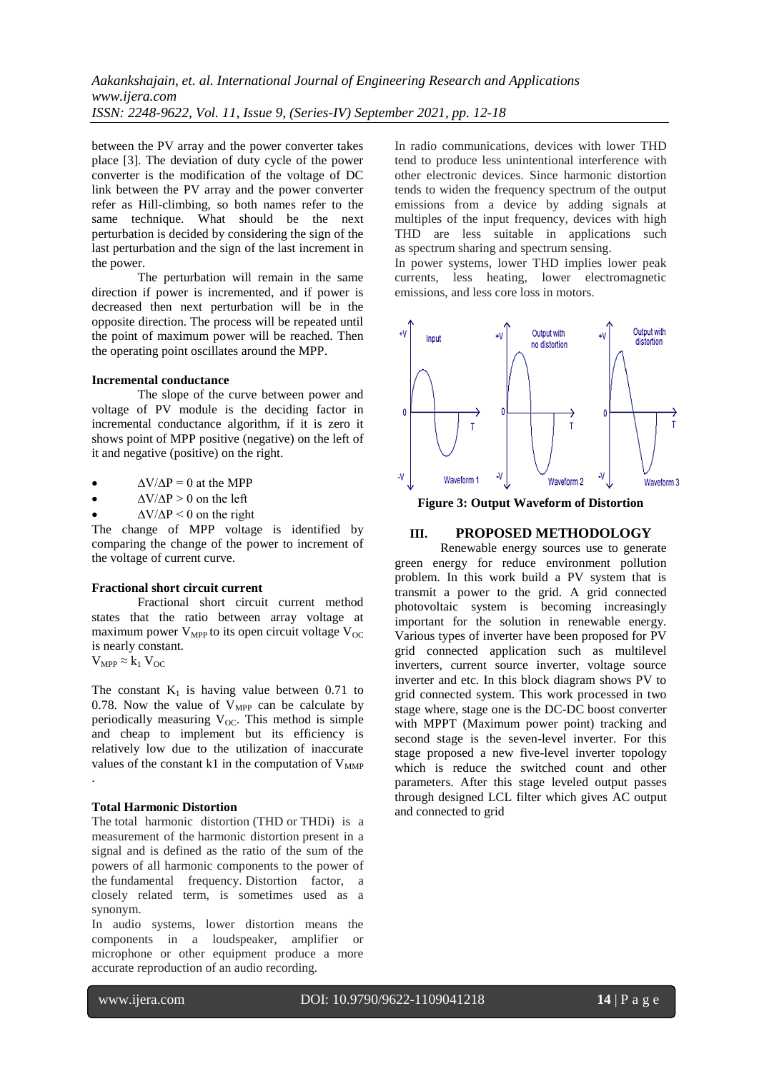between the PV array and the power converter takes place [3]. The deviation of duty cycle of the power converter is the modification of the voltage of DC link between the PV array and the power converter refer as Hill-climbing, so both names refer to the same technique. What should be the next perturbation is decided by considering the sign of the last perturbation and the sign of the last increment in the power.

The perturbation will remain in the same direction if power is incremented, and if power is decreased then next perturbation will be in the opposite direction. The process will be repeated until the point of maximum power will be reached. Then the operating point oscillates around the MPP.

# **Incremental conductance**

The slope of the curve between power and voltage of PV module is the deciding factor in incremental conductance algorithm, if it is zero it shows point of MPP positive (negative) on the left of it and negative (positive) on the right.

|  | $\Delta V/\Delta P = 0$ at the MPP |
|--|------------------------------------|
|--|------------------------------------|

 $\Delta V/\Delta P > 0$  on the left

 $\Delta V/\Delta P$  < 0 on the right

The change of MPP voltage is identified by comparing the change of the power to increment of the voltage of current curve.

# **Fractional short circuit current**

Fractional short circuit current method states that the ratio between array voltage at maximum power  $V_{MPP}$  to its open circuit voltage  $V_{OC}$ is nearly constant.  $V_{MPP} \approx k_1 V_{OC}$ 

The constant  $K_1$  is having value between 0.71 to 0.78. Now the value of  $V_{MPP}$  can be calculate by periodically measuring  $V_{OC}$ . This method is simple and cheap to implement but its efficiency is relatively low due to the utilization of inaccurate values of the constant k1 in the computation of  $V_{MMP}$ 

# **Total Harmonic Distortion**

.

The total harmonic distortion (THD or THDi) is a measurement of the harmonic distortion present in a signal and is defined as the ratio of the sum of the powers of all harmonic components to the power of the fundamental frequency. Distortion factor, a closely related term, is sometimes used as a synonym.

In audio systems, lower distortion means the components in a loudspeaker, amplifier or microphone or other equipment produce a more accurate reproduction of an audio recording.

In radio communications, devices with lower THD tend to produce less unintentional interference with other electronic devices. Since harmonic distortion tends to widen the frequency spectrum of the output emissions from a device by adding signals at multiples of the input frequency, devices with high THD are less suitable in applications such as spectrum sharing and spectrum sensing.

In power systems, lower THD implies lower peak currents, less heating, lower electromagnetic emissions, and less core loss in motors.



**Figure 3: Output Waveform of Distortion**

# **III. PROPOSED METHODOLOGY**

Renewable energy sources use to generate green energy for reduce environment pollution problem. In this work build a PV system that is transmit a power to the grid. A grid connected photovoltaic system is becoming increasingly important for the solution in renewable energy. Various types of inverter have been proposed for PV grid connected application such as multilevel inverters, current source inverter, voltage source inverter and etc. In this block diagram shows PV to grid connected system. This work processed in two stage where, stage one is the DC-DC boost converter with MPPT (Maximum power point) tracking and second stage is the seven-level inverter. For this stage proposed a new five-level inverter topology which is reduce the switched count and other parameters. After this stage leveled output passes through designed LCL filter which gives AC output and connected to grid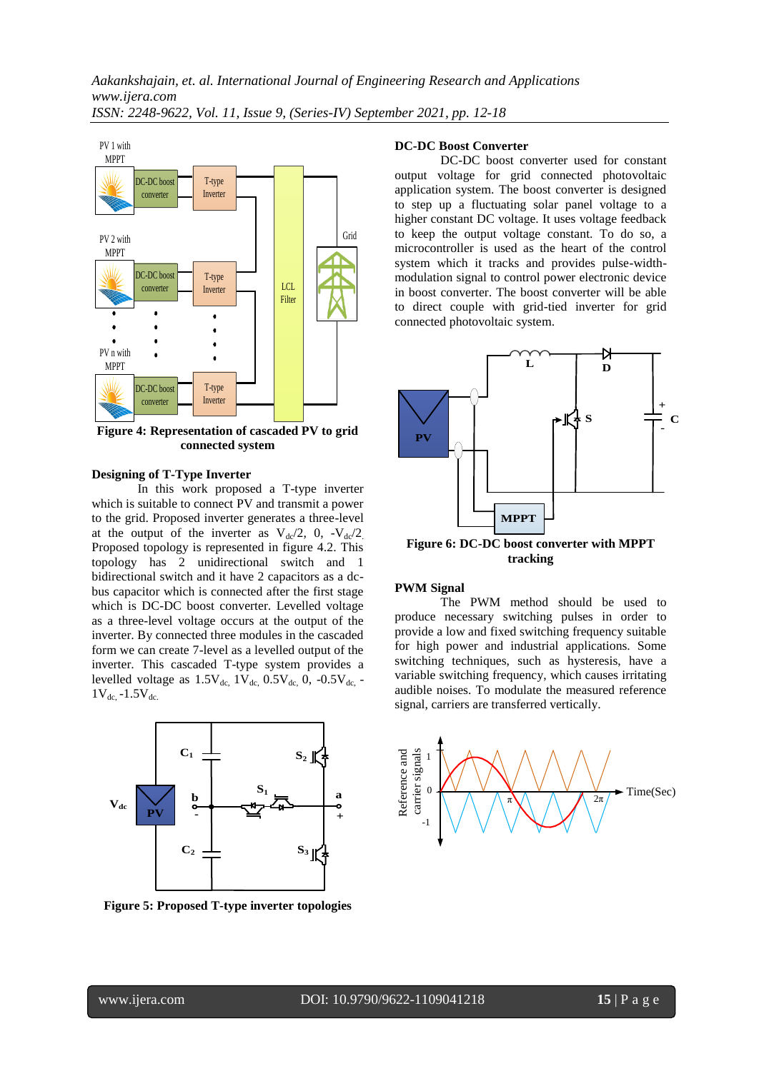

**Figure 4: Representation of cascaded PV to grid connected system**

#### **Designing of T-Type Inverter**

In this work proposed a T-type inverter which is suitable to connect PV and transmit a power to the grid. Proposed inverter generates a three-level at the output of the inverter as  $V_{dc}/2$ , 0,  $-V_{dc}/2$ . Proposed topology is represented in figure 4.2. This topology has 2 unidirectional switch and 1 bidirectional switch and it have 2 capacitors as a dcbus capacitor which is connected after the first stage which is DC-DC boost converter. Levelled voltage as a three-level voltage occurs at the output of the inverter. By connected three modules in the cascaded form we can create 7-level as a levelled output of the inverter. This cascaded T-type system provides a levelled voltage as  $1.5V_{dc}$ ,  $1V_{dc}$ ,  $0.5V_{dc}$ ,  $0.5V_{dc}$ ,  $-0.5V_{dc}$ ,  $-0.5V_{dc}$  $1V_{dc}$  -1.5 $V_{dc}$ .



**Figure 5: Proposed T-type inverter topologies**

# **DC-DC Boost Converter**

DC-DC boost converter used for constant output voltage for grid connected photovoltaic application system. The boost converter is designed to step up a fluctuating solar panel voltage to a higher constant DC voltage. It uses voltage feedback to keep the output voltage constant. To do so, a microcontroller is used as the heart of the control system which it tracks and provides pulse-widthmodulation signal to control power electronic device in boost converter. The boost converter will be able to direct couple with grid-tied inverter for grid connected photovoltaic system.



**Figure 6: DC-DC boost converter with MPPT tracking**

#### **PWM Signal**

The PWM method should be used to produce necessary switching pulses in order to provide a low and fixed switching frequency suitable for high power and industrial applications. Some switching techniques, such as hysteresis, have a variable switching frequency, which causes irritating audible noises. To modulate the measured reference signal, carriers are transferred vertically.

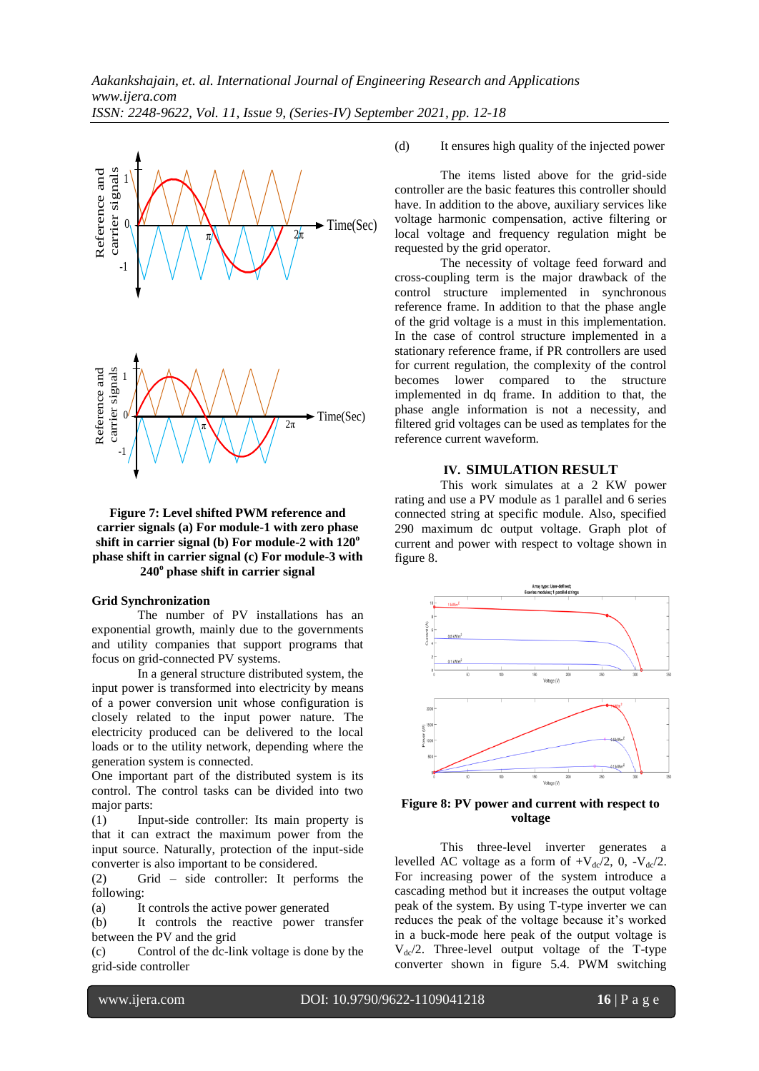

# **Figure 7: Level shifted PWM reference and carrier signals (a) For module-1 with zero phase shift in carrier signal (b) For module-2 with 120<sup>o</sup> phase shift in carrier signal (c) For module-3 with 240<sup>o</sup> phase shift in carrier signal**

# **Grid Synchronization**

The number of PV installations has an exponential growth, mainly due to the governments and utility companies that support programs that focus on grid-connected PV systems.

In a general structure distributed system, the input power is transformed into electricity by means of a power conversion unit whose configuration is closely related to the input power nature. The electricity produced can be delivered to the local loads or to the utility network, depending where the generation system is connected.

One important part of the distributed system is its control. The control tasks can be divided into two major parts:

(1) Input-side controller: Its main property is that it can extract the maximum power from the input source. Naturally, protection of the input-side converter is also important to be considered.

(2) Grid – side controller: It performs the following:

(a) It controls the active power generated

(b) It controls the reactive power transfer between the PV and the grid

(c) Control of the dc-link voltage is done by the grid-side controller

(d) It ensures high quality of the injected power

The items listed above for the grid-side controller are the basic features this controller should have. In addition to the above, auxiliary services like voltage harmonic compensation, active filtering or local voltage and frequency regulation might be requested by the grid operator.

The necessity of voltage feed forward and cross-coupling term is the major drawback of the control structure implemented in synchronous reference frame. In addition to that the phase angle of the grid voltage is a must in this implementation. In the case of control structure implemented in a stationary reference frame, if PR controllers are used for current regulation, the complexity of the control becomes lower compared to the structure implemented in dq frame. In addition to that, the phase angle information is not a necessity, and filtered grid voltages can be used as templates for the reference current waveform.

# **IV. SIMULATION RESULT**

This work simulates at a 2 KW power rating and use a PV module as 1 parallel and 6 series connected string at specific module. Also, specified 290 maximum dc output voltage. Graph plot of current and power with respect to voltage shown in figure 8.



# **Figure 8: PV power and current with respect to voltage**

This three-level inverter generates a levelled AC voltage as a form of  $+V_{dc}/2$ , 0,  $-V_{dc}/2$ . For increasing power of the system introduce a cascading method but it increases the output voltage peak of the system. By using T-type inverter we can reduces the peak of the voltage because it's worked in a buck-mode here peak of the output voltage is  $V_{\rm dc}/2$ . Three-level output voltage of the T-type converter shown in figure 5.4. PWM switching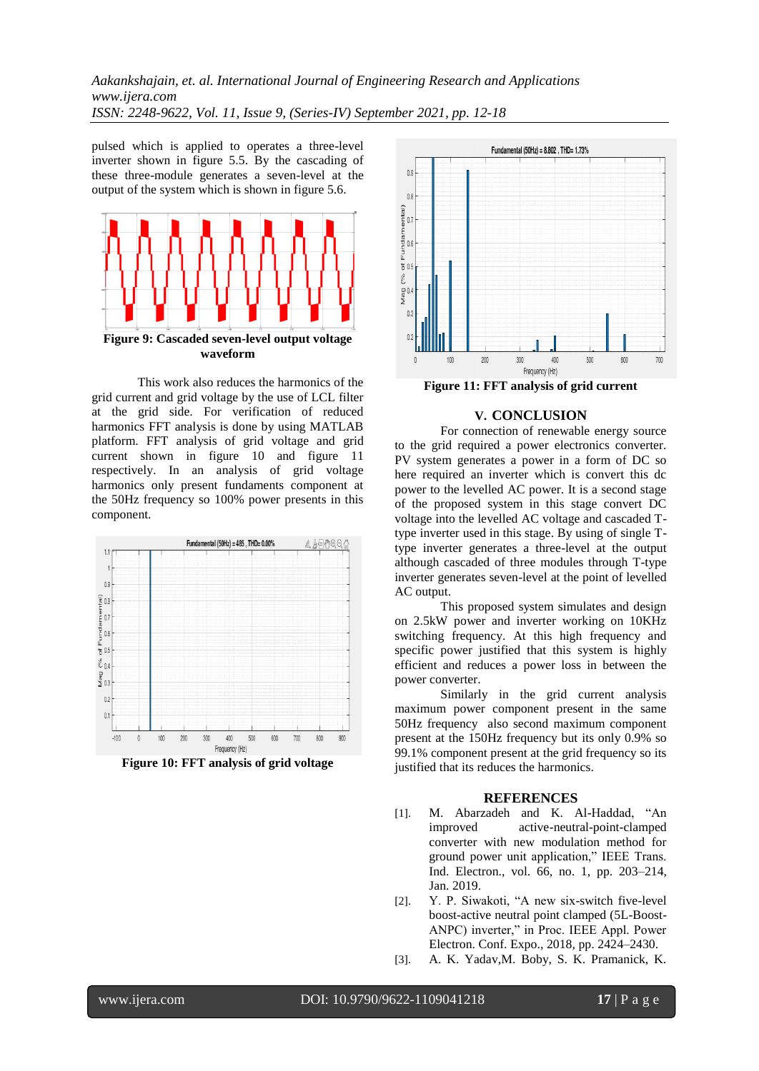*Aakankshajain, et. al. International Journal of Engineering Research and Applications www.ijera.com ISSN: 2248-9622, Vol. 11, Issue 9, (Series-IV) September 2021, pp. 12-18*

pulsed which is applied to operates a three-level inverter shown in figure 5.5. By the cascading of these three-module generates a seven-level at the output of the system which is shown in figure 5.6.



This work also reduces the harmonics of the grid current and grid voltage by the use of LCL filter at the grid side. For verification of reduced harmonics FFT analysis is done by using MATLAB platform. FFT analysis of grid voltage and grid current shown in figure 10 and figure 11 respectively. In an analysis of grid voltage harmonics only present fundaments component at the 50Hz frequency so 100% power presents in this component.



**Figure 10: FFT analysis of grid voltage**



**Figure 11: FFT analysis of grid current**

# **V. CONCLUSION**

For connection of renewable energy source to the grid required a power electronics converter. PV system generates a power in a form of DC so here required an inverter which is convert this dc power to the levelled AC power. It is a second stage of the proposed system in this stage convert DC voltage into the levelled AC voltage and cascaded Ttype inverter used in this stage. By using of single Ttype inverter generates a three-level at the output although cascaded of three modules through T-type inverter generates seven-level at the point of levelled AC output.

This proposed system simulates and design on 2.5kW power and inverter working on 10KHz switching frequency. At this high frequency and specific power justified that this system is highly efficient and reduces a power loss in between the power converter.

Similarly in the grid current analysis maximum power component present in the same 50Hz frequency also second maximum component present at the 150Hz frequency but its only 0.9% so 99.1% component present at the grid frequency so its justified that its reduces the harmonics.

# **REFERENCES**

- [1]. M. Abarzadeh and K. Al-Haddad, "An improved active-neutral-point-clamped converter with new modulation method for ground power unit application," IEEE Trans. Ind. Electron., vol. 66, no. 1, pp. 203–214, Jan. 2019.
- [2]. Y. P. Siwakoti, "A new six-switch five-level boost-active neutral point clamped (5L-Boost-ANPC) inverter," in Proc. IEEE Appl. Power Electron. Conf. Expo., 2018, pp. 2424–2430.
- [3]. A. K. Yadav,M. Boby, S. K. Pramanick, K.